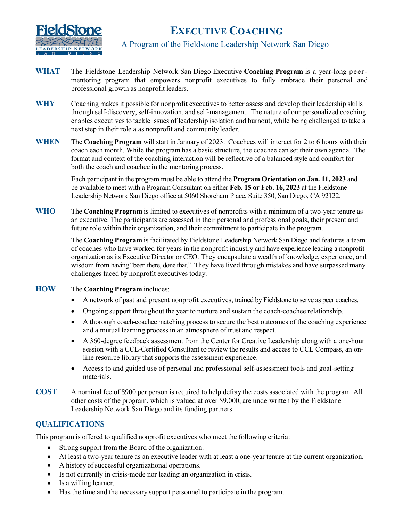

# **EXECUTIVE COACHING**

A Program of the Fieldstone Leadership Network San Diego

- **WHAT** The Fieldstone Leadership Network San Diego Executive **Coaching Program** is a year-long peermentoring program that empowers nonprofit executives to fully embrace their personal and professional growth as nonprofit leaders.
- **WHY** Coaching makes it possible for nonprofit executives to better assess and develop their leadership skills through self-discovery, self-innovation, and self-management. The nature of our personalized coaching enables executives to tackle issues of leadership isolation and burnout, while being challenged to take a next step in their role a as nonprofit and community leader.
- **WHEN** The **Coaching Program** will start in January of 2023. Coachees will interact for 2 to 6 hours with their coach each month. While the program has a basic structure, the coachee can set their own agenda. The format and context of the coaching interaction will be reflective of a balanced style and comfort for both the coach and coachee in the mentoring process.

Each participant in the program must be able to attend the **Program Orientation on Jan. 11, 2023** and be available to meet with a Program Consultant on either **Feb. 15 or Feb. 16, 2023** at the Fieldstone Leadership Network San Diego office at 5060 Shoreham Place, Suite 350, San Diego, CA 92122.

**WHO** The **Coaching Program** is limited to executives of nonprofits with a minimum of a two-year tenure as an executive. The participants are assessed in their personal and professional goals, their present and future role within their organization, and their commitment to participate in the program.

> The **Coaching Program** is facilitated by Fieldstone Leadership Network San Diego and features a team of coaches who have worked for years in the nonprofit industry and have experience leading a nonprofit organization as its Executive Director or CEO. They encapsulate a wealth of knowledge, experience, and wisdom from having "been there, done that." They have lived through mistakes and have surpassed many challenges faced by nonprofit executives today.

- **HOW** The **Coaching Program** includes:
	- A network of past and present nonprofit executives, trained by Fieldstone to serve as peer coaches.
	- Ongoing support throughout the year to nurture and sustain the coach-coachee relationship.
	- A thorough coach-coachee matching process to secure the best outcomes of the coaching experience and a mutual learning process in an atmosphere of trust and respect.
	- A 360-degree feedback assessment from the Center for Creative Leadership along with a one-hour session with a CCL-Certified Consultant to review the results and access to CCL Compass, an online resource library that supports the assessment experience.
	- Access to and guided use of personal and professional self-assessment tools and goal-setting materials.
- **COST** A nominal fee of \$900 per person is required to help defray the costs associated with the program. All other costs of the program, which is valued at over \$9,000, are underwritten by the Fieldstone Leadership Network San Diego and its funding partners.

### **QUALIFICATIONS**

This program is offered to qualified nonprofit executives who meet the following criteria:

- Strong support from the Board of the organization.
- At least a two-year tenure as an executive leader with at least a one-year tenure at the current organization.
- A history of successful organizational operations.
- Is not currently in crisis-mode nor leading an organization in crisis.
- Is a willing learner.
- Has the time and the necessary support personnel to participate in the program.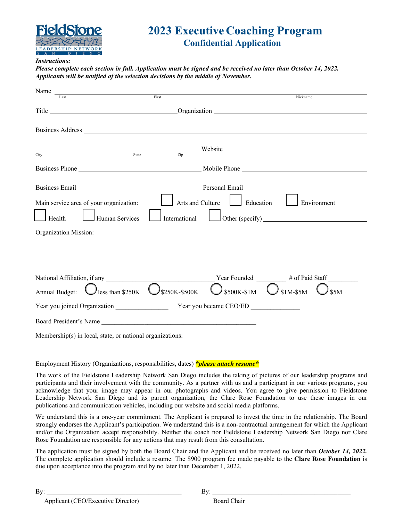

## **2023 Executive Coaching Program Confidential Application**

#### *Instructions:*

*Please complete each section in full. Application must be signed and be received no later than October 14, 2022. Applicants will be notified of the selection decisions by the middle of November.*

| Name                                                      |                                                                                                                                                                                                                                |                                |  |  |
|-----------------------------------------------------------|--------------------------------------------------------------------------------------------------------------------------------------------------------------------------------------------------------------------------------|--------------------------------|--|--|
|                                                           | First                                                                                                                                                                                                                          | Nickname                       |  |  |
|                                                           | Title Critical Communication Communication Communication Communication Communication Communication Communication Communication Communication Communication Communication Communication Communication Communication Communicati |                                |  |  |
|                                                           |                                                                                                                                                                                                                                |                                |  |  |
|                                                           |                                                                                                                                                                                                                                |                                |  |  |
|                                                           |                                                                                                                                                                                                                                |                                |  |  |
| City                                                      | $S_{\text{tate}}$ $\overline{z_{\text{ip}}}$ Website                                                                                                                                                                           |                                |  |  |
|                                                           |                                                                                                                                                                                                                                |                                |  |  |
|                                                           | Business Email Personal Email Personal Email Personal Email Personal Email Personal Email Personal Email Personal Email Personal Email Personal Email Personal Email Personal Email Personal Email Personal Email Personal Ema |                                |  |  |
| Main service area of your organization:                   | Arts and Culture<br>$\Box$ Education                                                                                                                                                                                           | Environment                    |  |  |
| Health<br>Human Services                                  | International                                                                                                                                                                                                                  | $\Box$ Other (specify) $\Box$  |  |  |
| Organization Mission:                                     |                                                                                                                                                                                                                                |                                |  |  |
|                                                           |                                                                                                                                                                                                                                |                                |  |  |
|                                                           |                                                                                                                                                                                                                                |                                |  |  |
|                                                           |                                                                                                                                                                                                                                |                                |  |  |
|                                                           |                                                                                                                                                                                                                                |                                |  |  |
| Annual Budget: $\bigcup$ less than \$250K                 | $\bigcup$ \$250K-\$500K<br>\$500K-\$1M                                                                                                                                                                                         | $)_{\text{S1M-SSM}}$<br>$$5M+$ |  |  |
|                                                           | Year you joined Organization Year you became CEO/ED                                                                                                                                                                            |                                |  |  |
| Board President's Name                                    |                                                                                                                                                                                                                                |                                |  |  |
| Membership(s) in local, state, or national organizations: |                                                                                                                                                                                                                                |                                |  |  |

Employment History (Organizations, responsibilities, dates) *\*please attach resume\**

The work of the Fieldstone Leadership Network San Diego includes the taking of pictures of our leadership programs and participants and their involvement with the community. As a partner with us and a participant in our various programs, you acknowledge that your image may appear in our photographs and videos. You agree to give permission to Fieldstone Leadership Network San Diego and its parent organization, the Clare Rose Foundation to use these images in our publications and communication vehicles, including our website and social media platforms.

We understand this is a one-year commitment. The Applicant is prepared to invest the time in the relationship. The Board strongly endorses the Applicant's participation. We understand this is a non-contractual arrangement for which the Applicant and/or the Organization accept responsibility. Neither the coach nor Fieldstone Leadership Network San Diego nor Clare Rose Foundation are responsible for any actions that may result from this consultation.

The application must be signed by both the Board Chair and the Applicant and be received no later than *October 14, 2022.*  The complete application should include a resume. The \$900 program fee made payable to the **Clare Rose Foundation** is due upon acceptance into the program and by no later than December 1, 2022.